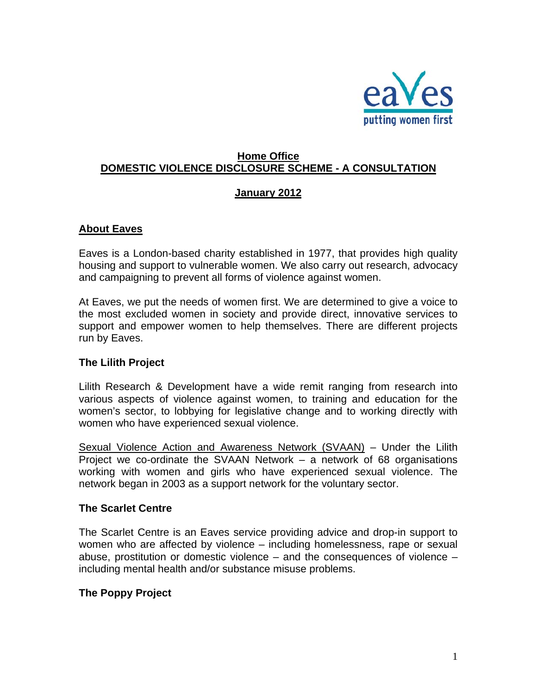

## **Home Office DOMESTIC VIOLENCE DISCLOSURE SCHEME - A CONSULTATION**

#### **January 2012**

#### **About Eaves**

Eaves is a London-based charity established in 1977, that provides high quality housing and support to vulnerable women. We also carry out research, advocacy and campaigning to prevent all forms of violence against women.

At Eaves, we put the needs of women first. We are determined to give a voice to the most excluded women in society and provide direct, innovative services to support and empower women to help themselves. There are different projects run by Eaves.

#### **The Lilith Project**

Lilith Research & Development have a wide remit ranging from research into various aspects of violence against women, to training and education for the women's sector, to lobbying for legislative change and to working directly with women who have experienced sexual violence.

Sexual Violence Action and Awareness Network (SVAAN) – Under the Lilith Project we co-ordinate the SVAAN Network – a network of 68 organisations working with women and girls who have experienced sexual violence. The network began in 2003 as a support network for the voluntary sector.

#### **The Scarlet Centre**

The Scarlet Centre is an Eaves service providing advice and drop-in support to women who are affected by violence – including homelessness, rape or sexual abuse, prostitution or domestic violence – and the consequences of violence – including mental health and/or substance misuse problems.

#### **The Poppy Project**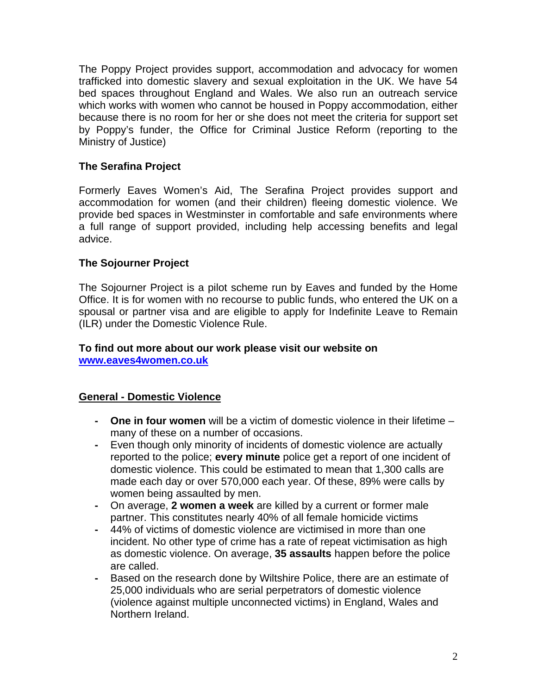The Poppy Project provides support, accommodation and advocacy for women trafficked into domestic slavery and sexual exploitation in the UK. We have 54 bed spaces throughout England and Wales. We also run an outreach service which works with women who cannot be housed in Poppy accommodation, either because there is no room for her or she does not meet the criteria for support set by Poppy's funder, the Office for Criminal Justice Reform (reporting to the Ministry of Justice)

# **The Serafina Project**

Formerly Eaves Women's Aid, The Serafina Project provides support and accommodation for women (and their children) fleeing domestic violence. We provide bed spaces in Westminster in comfortable and safe environments where a full range of support provided, including help accessing benefits and legal advice.

### **The Sojourner Project**

The Sojourner Project is a pilot scheme run by Eaves and funded by the Home Office. It is for women with no recourse to public funds, who entered the UK on a spousal or partner visa and are eligible to apply for Indefinite Leave to Remain (ILR) under the Domestic Violence Rule.

#### **To find out more about our work please visit our website on [www.eaves4women.co.uk](http://www.eaves4women.co.uk/)**

### **General - Domestic Violence**

- **One in four women** will be a victim of domestic violence in their lifetime many of these on a number of occasions.
- Even though only minority of incidents of domestic violence are actually reported to the police; **every minute** police get a report of one incident of domestic violence. This could be estimated to mean that 1,300 calls are made each day or over 570,000 each year. Of these, 89% were calls by women being assaulted by men.
- On average, **2 women a week** are killed by a current or former male partner. This constitutes nearly 40% of all female homicide victims
- 44% of victims of domestic violence are victimised in more than one incident. No other type of crime has a rate of repeat victimisation as high as domestic violence. On average, **35 assaults** happen before the police are called.
- Based on the research done by Wiltshire Police, there are an estimate of 25,000 individuals who are serial perpetrators of domestic violence (violence against multiple unconnected victims) in England, Wales and Northern Ireland.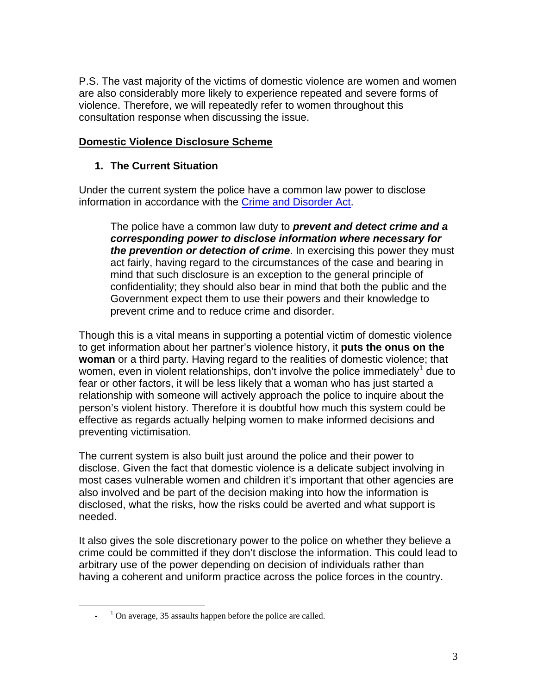P.S. The vast majority of the victims of domestic violence are women and women are also considerably more likely to experience repeated and severe forms of violence. Therefore, we will repeatedly refer to women throughout this consultation response when discussing the issue.

## **Domestic Violence Disclosure Scheme**

# **1. The Current Situation**

Under the current system the police have a common law power to disclose information in accordance with the Crime and Disorder Act.

The police have a common law duty to *prevent and detect crime and a corresponding power to disclose information where necessary for the prevention or detection of crime*. In exercising this power they must act fairly, having regard to the circumstances of the case and bearing in mind that such disclosure is an exception to the general principle of confidentiality; they should also bear in mind that both the public and the Government expect them to use their powers and their knowledge to prevent crime and to reduce crime and disorder.

Though this is a vital means in supporting a potential victim of domestic violence to get information about her partner's violence history, it **puts the onus on the woman** or a third party. Having regard to the realities of domestic violence; that women, even in violent relationships, don't involve the police immediately<sup>[1](#page-2-0)</sup> due to fear or other factors, it will be less likely that a woman who has just started a relationship with someone will actively approach the police to inquire about the person's violent history. Therefore it is doubtful how much this system could be effective as regards actually helping women to make informed decisions and preventing victimisation.

The current system is also built just around the police and their power to disclose. Given the fact that domestic violence is a delicate subject involving in most cases vulnerable women and children it's important that other agencies are also involved and be part of the decision making into how the information is disclosed, what the risks, how the risks could be averted and what support is needed.

It also gives the sole discretionary power to the police on whether they believe a crime could be committed if they don't disclose the information. This could lead to arbitrary use of the power depending on decision of individuals rather than having a coherent and uniform practice across the police forces in the country.

 $\overline{a}$ 

<span id="page-2-0"></span><sup>&</sup>lt;sup>1</sup> On average, 35 assaults happen before the police are called.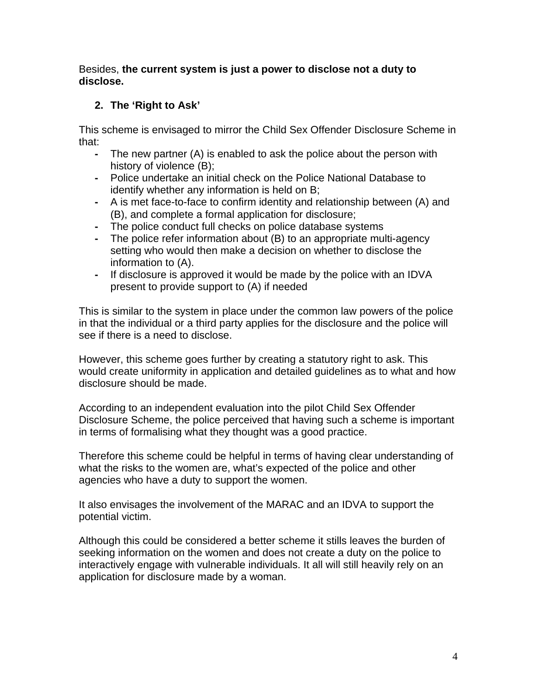Besides, **the current system is just a power to disclose not a duty to disclose.** 

# **2. The 'Right to Ask'**

This scheme is envisaged to mirror the Child Sex Offender Disclosure Scheme in that:

- The new partner (A) is enabled to ask the police about the person with history of violence (B);
- Police undertake an initial check on the Police National Database to identify whether any information is held on B;
- A is met face-to-face to confirm identity and relationship between (A) and (B), and complete a formal application for disclosure;
- The police conduct full checks on police database systems
- The police refer information about (B) to an appropriate multi-agency setting who would then make a decision on whether to disclose the information to (A).
- If disclosure is approved it would be made by the police with an IDVA present to provide support to (A) if needed

This is similar to the system in place under the common law powers of the police in that the individual or a third party applies for the disclosure and the police will see if there is a need to disclose.

However, this scheme goes further by creating a statutory right to ask. This would create uniformity in application and detailed guidelines as to what and how disclosure should be made.

According to an independent evaluation into the pilot Child Sex Offender Disclosure Scheme, the police perceived that having such a scheme is important in terms of formalising what they thought was a good practice.

Therefore this scheme could be helpful in terms of having clear understanding of what the risks to the women are, what's expected of the police and other agencies who have a duty to support the women.

It also envisages the involvement of the MARAC and an IDVA to support the potential victim.

Although this could be considered a better scheme it stills leaves the burden of seeking information on the women and does not create a duty on the police to interactively engage with vulnerable individuals. It all will still heavily rely on an application for disclosure made by a woman.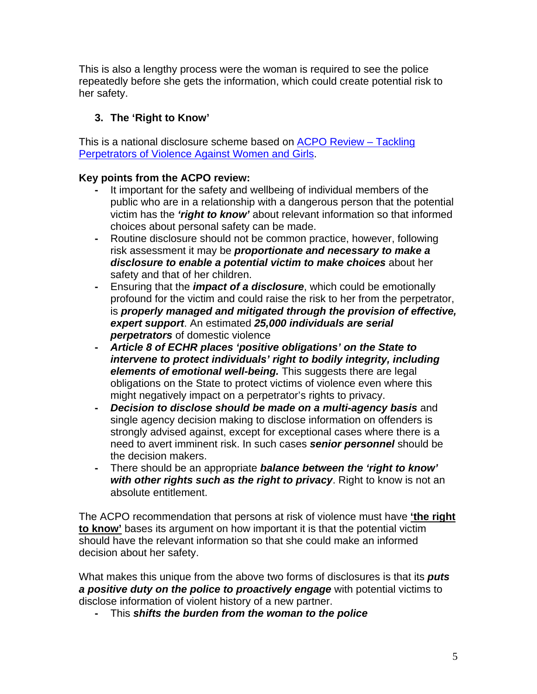This is also a lengthy process were the woman is required to see the police repeatedly before she gets the information, which could create potential risk to her safety.

# **3. The 'Right to Know'**

This is a national disclosure scheme based on [ACPO Review – Tackling](http://www.acpo.police.uk/documents/crime/2009/200909CRIVAW01.pdf)  [Perpetrators of Violence Against Women and Girls](http://www.acpo.police.uk/documents/crime/2009/200909CRIVAW01.pdf).

# **Key points from the ACPO review:**

- It important for the safety and wellbeing of individual members of the public who are in a relationship with a dangerous person that the potential victim has the *'right to know'* about relevant information so that informed choices about personal safety can be made.
- Routine disclosure should not be common practice, however, following risk assessment it may be *proportionate and necessary to make a disclosure to enable a potential victim to make choices* about her safety and that of her children.
- Ensuring that the *impact of a disclosure*, which could be emotionally profound for the victim and could raise the risk to her from the perpetrator, is *properly managed and mitigated through the provision of effective, expert support*. An estimated *25,000 individuals are serial perpetrators* of domestic violence
- *Article 8 of ECHR places 'positive obligations' on the State to intervene to protect individuals' right to bodily integrity, including elements of emotional well-being.* This suggests there are legal obligations on the State to protect victims of violence even where this might negatively impact on a perpetrator's rights to privacy.
- *Decision to disclose should be made on a multi-agency basis* and single agency decision making to disclose information on offenders is strongly advised against, except for exceptional cases where there is a need to avert imminent risk. In such cases *senior personnel* should be the decision makers.
- There should be an appropriate *balance between the 'right to know' with other rights such as the right to privacy*. Right to know is not an absolute entitlement.

The ACPO recommendation that persons at risk of violence must have **'the right to know'** bases its argument on how important it is that the potential victim should have the relevant information so that she could make an informed decision about her safety.

What makes this unique from the above two forms of disclosures is that its *puts a positive duty on the police to proactively engage* with potential victims to disclose information of violent history of a new partner.

**-** This *shifts the burden from the woman to the police*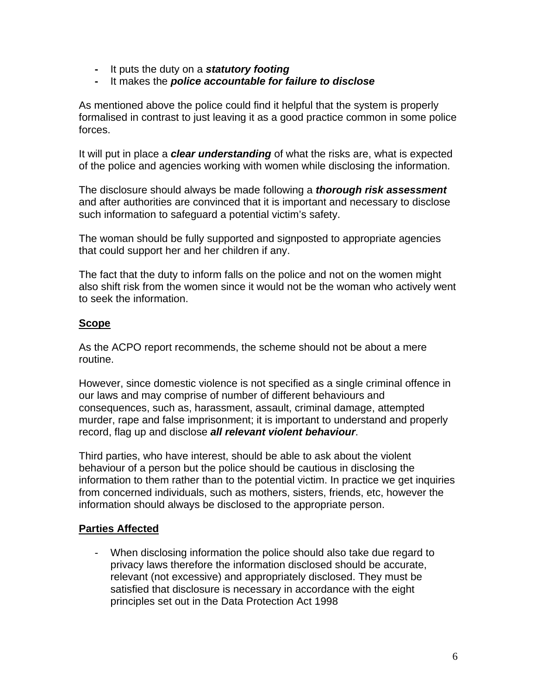- It puts the duty on a *statutory footing*
- It makes the *police accountable for failure to disclose*

As mentioned above the police could find it helpful that the system is properly formalised in contrast to just leaving it as a good practice common in some police forces.

It will put in place a *clear understanding* of what the risks are, what is expected of the police and agencies working with women while disclosing the information.

The disclosure should always be made following a *thorough risk assessment* and after authorities are convinced that it is important and necessary to disclose such information to safeguard a potential victim's safety.

The woman should be fully supported and signposted to appropriate agencies that could support her and her children if any.

The fact that the duty to inform falls on the police and not on the women might also shift risk from the women since it would not be the woman who actively went to seek the information.

#### **Scope**

As the ACPO report recommends, the scheme should not be about a mere routine.

However, since domestic violence is not specified as a single criminal offence in our laws and may comprise of number of different behaviours and consequences, such as, harassment, assault, criminal damage, attempted murder, rape and false imprisonment; it is important to understand and properly record, flag up and disclose *all relevant violent behaviour*.

Third parties, who have interest, should be able to ask about the violent behaviour of a person but the police should be cautious in disclosing the information to them rather than to the potential victim. In practice we get inquiries from concerned individuals, such as mothers, sisters, friends, etc, however the information should always be disclosed to the appropriate person.

#### **Parties Affected**

- When disclosing information the police should also take due regard to privacy laws therefore the information disclosed should be accurate, relevant (not excessive) and appropriately disclosed. They must be satisfied that disclosure is necessary in accordance with the eight principles set out in the Data Protection Act 1998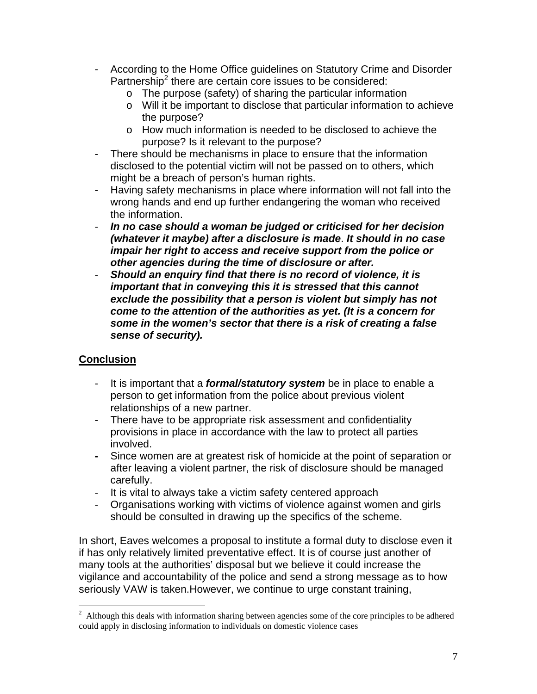- According to the Home Office guidelines on Statutory Crime and Disorder Partnership<sup>[2](#page-6-0)</sup> there are certain core issues to be considered:
	- o The purpose (safety) of sharing the particular information
	- o Will it be important to disclose that particular information to achieve the purpose?
	- o How much information is needed to be disclosed to achieve the purpose? Is it relevant to the purpose?
- There should be mechanisms in place to ensure that the information disclosed to the potential victim will not be passed on to others, which might be a breach of person's human rights.
- Having safety mechanisms in place where information will not fall into the wrong hands and end up further endangering the woman who received the information.
- *In no case should a woman be judged or criticised for her decision (whatever it maybe) after a disclosure is made*. *It should in no case impair her right to access and receive support from the police or other agencies during the time of disclosure or after.*
- *Should an enquiry find that there is no record of violence, it is important that in conveying this it is stressed that this cannot exclude the possibility that a person is violent but simply has not come to the attention of the authorities as yet. (It is a concern for some in the women's sector that there is a risk of creating a false sense of security).*

### **Conclusion**

- It is important that a *formal/statutory system* be in place to enable a person to get information from the police about previous violent relationships of a new partner.
- There have to be appropriate risk assessment and confidentiality provisions in place in accordance with the law to protect all parties involved.
- Since women are at greatest risk of homicide at the point of separation or after leaving a violent partner, the risk of disclosure should be managed carefully.
- It is vital to always take a victim safety centered approach
- Organisations working with victims of violence against women and girls should be consulted in drawing up the specifics of the scheme.

In short, Eaves welcomes a proposal to institute a formal duty to disclose even it if has only relatively limited preventative effect. It is of course just another of many tools at the authorities' disposal but we believe it could increase the vigilance and accountability of the police and send a strong message as to how seriously VAW is taken.However, we continue to urge constant training,

<span id="page-6-0"></span><sup>&</sup>lt;sup>2</sup> Although this deals with information sharing between agencies some of the core principles to be adhered could apply in disclosing information to individuals on domestic violence cases